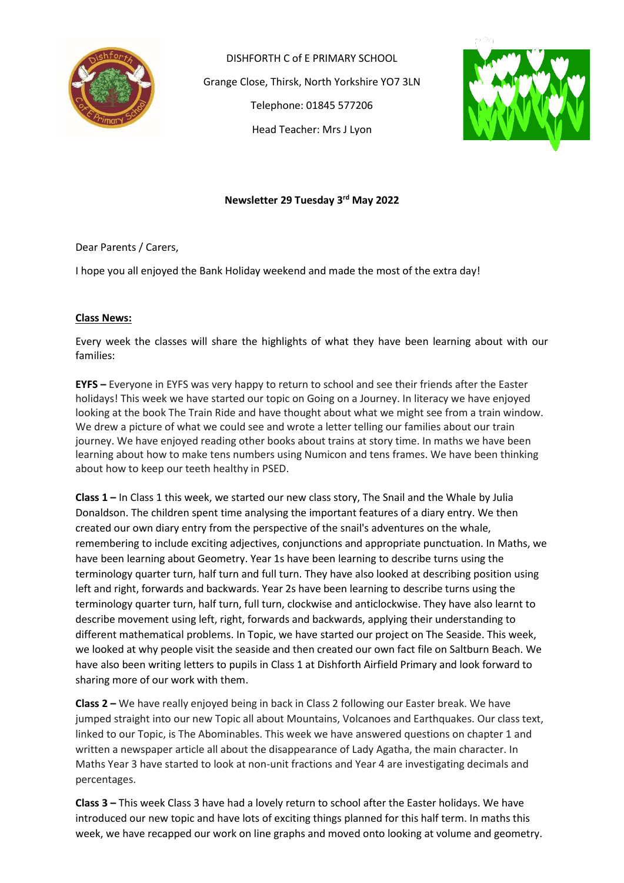

DISHFORTH C of E PRIMARY SCHOOL Grange Close, Thirsk, North Yorkshire YO7 3LN Telephone: 01845 577206 Head Teacher: Mrs J Lyon



# **Newsletter 29 Tuesday 3 rd May 2022**

Dear Parents / Carers,

I hope you all enjoyed the Bank Holiday weekend and made the most of the extra day!

## **Class News:**

Every week the classes will share the highlights of what they have been learning about with our families:

**EYFS –** Everyone in EYFS was very happy to return to school and see their friends after the Easter holidays! This week we have started our topic on Going on a Journey. In literacy we have enjoyed looking at the book The Train Ride and have thought about what we might see from a train window. We drew a picture of what we could see and wrote a letter telling our families about our train journey. We have enjoyed reading other books about trains at story time. In maths we have been learning about how to make tens numbers using Numicon and tens frames. We have been thinking about how to keep our teeth healthy in PSED.

**Class 1 –** In Class 1 this week, we started our new class story, The Snail and the Whale by Julia Donaldson. The children spent time analysing the important features of a diary entry. We then created our own diary entry from the perspective of the snail's adventures on the whale, remembering to include exciting adjectives, conjunctions and appropriate punctuation. In Maths, we have been learning about Geometry. Year 1s have been learning to describe turns using the terminology quarter turn, half turn and full turn. They have also looked at describing position using left and right, forwards and backwards. Year 2s have been learning to describe turns using the terminology quarter turn, half turn, full turn, clockwise and anticlockwise. They have also learnt to describe movement using left, right, forwards and backwards, applying their understanding to different mathematical problems. In Topic, we have started our project on The Seaside. This week, we looked at why people visit the seaside and then created our own fact file on Saltburn Beach. We have also been writing letters to pupils in Class 1 at Dishforth Airfield Primary and look forward to sharing more of our work with them.

**Class 2 –** We have really enjoyed being in back in Class 2 following our Easter break. We have jumped straight into our new Topic all about Mountains, Volcanoes and Earthquakes. Our class text, linked to our Topic, is The Abominables. This week we have answered questions on chapter 1 and written a newspaper article all about the disappearance of Lady Agatha, the main character. In Maths Year 3 have started to look at non-unit fractions and Year 4 are investigating decimals and percentages.

**Class 3 –** This week Class 3 have had a lovely return to school after the Easter holidays. We have introduced our new topic and have lots of exciting things planned for this half term. In maths this week, we have recapped our work on line graphs and moved onto looking at volume and geometry.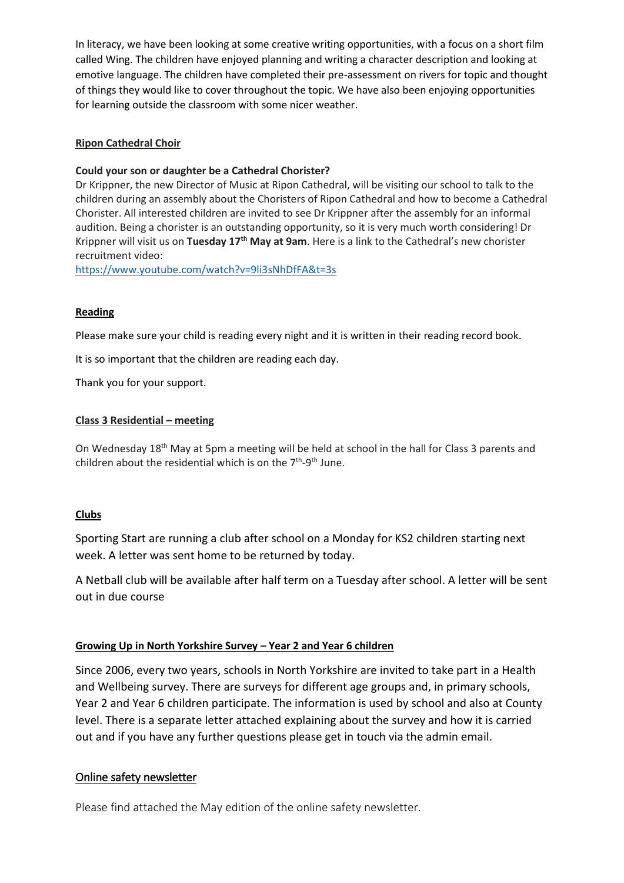In literacy, we have been looking at some creative writing opportunities, with a focus on a short film called Wing. The children have enjoyed planning and writing a character description and looking at emotive language. The children have completed their pre-assessment on rivers for topic and thought of things they would like to cover throughout the topic. We have also been enjoying opportunities for learning outside the classroom with some nicer weather.

## **Ripon Cathedral Choir**

## **Could your son or daughter be a Cathedral Chorister?**

Dr Krippner, the new Director of Music at Ripon Cathedral, will be visiting our school to talk to the children during an assembly about the Choristers of Ripon Cathedral and how to become a Cathedral Chorister. All interested children are invited to see Dr Krippner after the assembly for an informal audition. Being a chorister is an outstanding opportunity, so it is very much worth considering! Dr Krippner will visit us on **Tuesday 17th May at 9am**. Here is a link to the Cathedral's new chorister recruitment video:

<https://www.youtube.com/watch?v=9li3sNhDfFA&t=3s>

## **Reading**

Please make sure your child is reading every night and it is written in their reading record book.

It is so important that the children are reading each day.

Thank you for your support.

## **Class 3 Residential – meeting**

On Wednesday 18th May at 5pm a meeting will be held at school in the hall for Class 3 parents and children about the residential which is on the 7<sup>th</sup>-9<sup>th</sup> June.

### **Clubs**

Sporting Start are running a club after school on a Monday for KS2 children starting next week. A letter was sent home to be returned by today.

A Netball club will be available after half term on a Tuesday after school. A letter will be sent out in due course

# **Growing Up in North Yorkshire Survey – Year 2 and Year 6 children**

Since 2006, every two years, schools in North Yorkshire are invited to take part in a Health and Wellbeing survey. There are surveys for different age groups and, in primary schools, Year 2 and Year 6 children participate. The information is used by school and also at County level. There is a separate letter attached explaining about the survey and how it is carried out and if you have any further questions please get in touch via the admin email.

# Online safety newsletter

Please find attached the May edition of the online safety newsletter.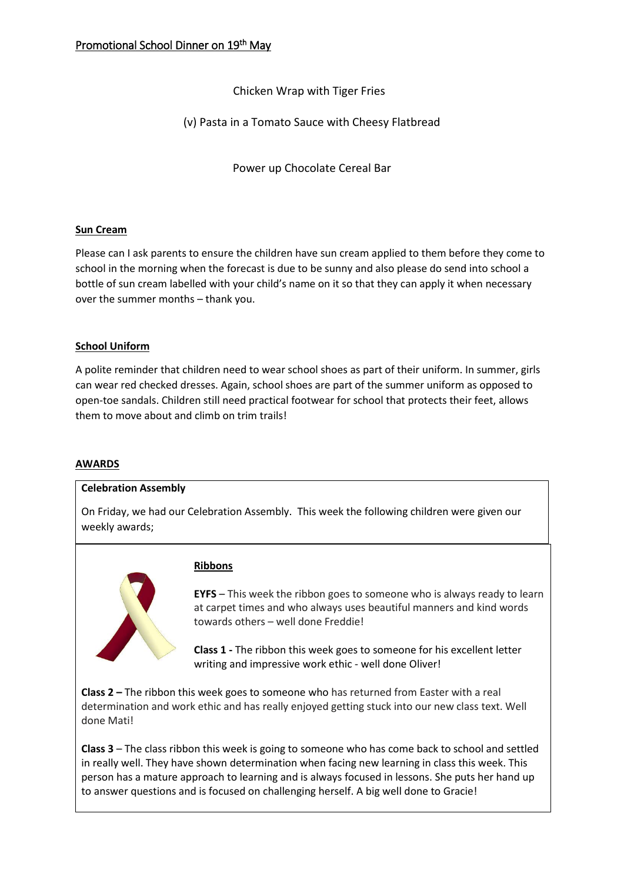Chicken Wrap with Tiger Fries

(v) Pasta in a Tomato Sauce with Cheesy Flatbread

Power up Chocolate Cereal Bar

# **Sun Cream**

Please can I ask parents to ensure the children have sun cream applied to them before they come to school in the morning when the forecast is due to be sunny and also please do send into school a bottle of sun cream labelled with your child's name on it so that they can apply it when necessary over the summer months – thank you.

# **School Uniform**

A polite reminder that children need to wear school shoes as part of their uniform. In summer, girls can wear red checked dresses. Again, school shoes are part of the summer uniform as opposed to open-toe sandals. Children still need practical footwear for school that protects their feet, allows them to move about and climb on trim trails!

# **AWARDS**

### **Celebration Assembly**

On Friday, we had our Celebration Assembly. This week the following children were given our weekly awards;



# **Ribbons**

**EYFS** – This week the ribbon goes to someone who is always ready to learn at carpet times and who always uses beautiful manners and kind words towards others – well done Freddie!

**Class 1 -** The ribbon this week goes to someone for his excellent letter writing and impressive work ethic - well done Oliver!

**Class 2 –** The ribbon this week goes to someone who has returned from Easter with a real determination and work ethic and has really enjoyed getting stuck into our new class text. Well done Mati!

**Class 3** – The class ribbon this week is going to someone who has come back to school and settled in really well. They have shown determination when facing new learning in class this week. This person has a mature approach to learning and is always focused in lessons. She puts her hand up to answer questions and is focused on challenging herself. A big well done to Gracie!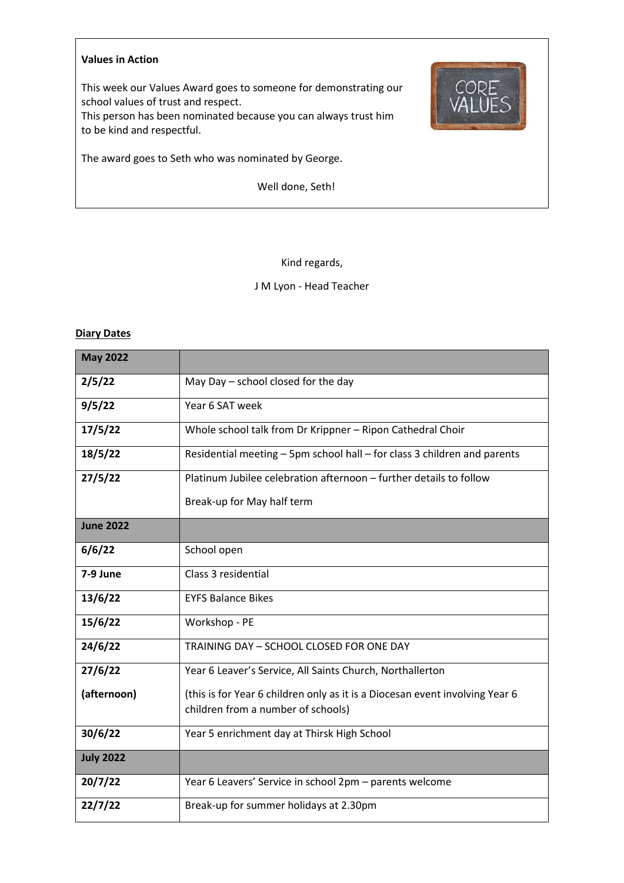#### **Values in Action**

This week our Values Award goes to someone for demonstrating our school values of trust and respect.

This person has been nominated because you can always trust him to be kind and respectful.



Well done, Seth!



### Kind regards,

J M Lyon - Head Teacher

### **Diary Dates**

| <b>May 2022</b>  |                                                                              |  |  |  |  |
|------------------|------------------------------------------------------------------------------|--|--|--|--|
| 2/5/22           | May Day - school closed for the day                                          |  |  |  |  |
| 9/5/22           | Year 6 SAT week                                                              |  |  |  |  |
| 17/5/22          | Whole school talk from Dr Krippner - Ripon Cathedral Choir                   |  |  |  |  |
| 18/5/22          | Residential meeting - 5pm school hall - for class 3 children and parents     |  |  |  |  |
| 27/5/22          | Platinum Jubilee celebration afternoon - further details to follow           |  |  |  |  |
|                  | Break-up for May half term                                                   |  |  |  |  |
| <b>June 2022</b> |                                                                              |  |  |  |  |
| 6/6/22           | School open                                                                  |  |  |  |  |
| 7-9 June         | Class 3 residential                                                          |  |  |  |  |
| 13/6/22          | <b>EYFS Balance Bikes</b>                                                    |  |  |  |  |
| 15/6/22          | Workshop - PE                                                                |  |  |  |  |
| 24/6/22          | TRAINING DAY - SCHOOL CLOSED FOR ONE DAY                                     |  |  |  |  |
| 27/6/22          | Year 6 Leaver's Service, All Saints Church, Northallerton                    |  |  |  |  |
| (afternoon)      | (this is for Year 6 children only as it is a Diocesan event involving Year 6 |  |  |  |  |
|                  | children from a number of schools)                                           |  |  |  |  |
| 30/6/22          | Year 5 enrichment day at Thirsk High School                                  |  |  |  |  |
| <b>July 2022</b> |                                                                              |  |  |  |  |
| 20/7/22          | Year 6 Leavers' Service in school 2pm - parents welcome                      |  |  |  |  |
| 22/7/22          | Break-up for summer holidays at 2.30pm                                       |  |  |  |  |